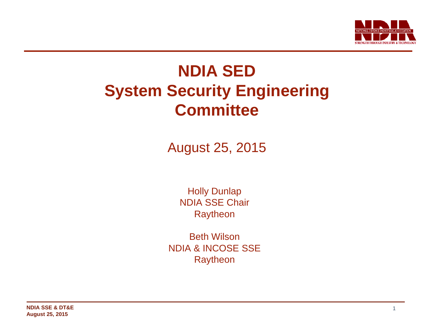

# **NDIA SED System Security Engineering Committee**

August 25, 2015

Holly Dunlap NDIA SSE Chair Raytheon

Beth Wilson NDIA & INCOSE SSE **Raytheon**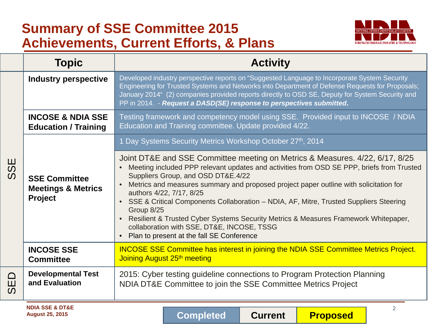# **Summary of SSE Committee 2015 Achievements, Current Efforts, & Plans**



|                                        | <b>Topic</b>                                                     | <b>Activity</b>                                                                                                                                                                                                                                                                                                                                                                                                                                                                                                                                                                                                                            |
|----------------------------------------|------------------------------------------------------------------|--------------------------------------------------------------------------------------------------------------------------------------------------------------------------------------------------------------------------------------------------------------------------------------------------------------------------------------------------------------------------------------------------------------------------------------------------------------------------------------------------------------------------------------------------------------------------------------------------------------------------------------------|
| ш<br>$\boldsymbol{\omega}$<br>$\Omega$ | <b>Industry perspective</b>                                      | Developed industry perspective reports on "Suggested Language to Incorporate System Security<br>Engineering for Trusted Systems and Networks into Department of Defense Requests for Proposals;<br>January 2014" (2) companies provided reports directly to OSD SE, Deputy for System Security and<br>PP in 2014. - Request a DASD(SE) response to perspectives submitted.                                                                                                                                                                                                                                                                 |
|                                        | <b>INCOSE &amp; NDIA SSE</b><br><b>Education / Training</b>      | Testing framework and competency model using SSE. Provided input to INCOSE / NDIA<br>Education and Training committee. Update provided 4/22.                                                                                                                                                                                                                                                                                                                                                                                                                                                                                               |
|                                        |                                                                  | 1 Day Systems Security Metrics Workshop October 27th, 2014                                                                                                                                                                                                                                                                                                                                                                                                                                                                                                                                                                                 |
|                                        | <b>SSE Committee</b><br><b>Meetings &amp; Metrics</b><br>Project | Joint DT&E and SSE Committee meeting on Metrics & Measures. 4/22, 6/17, 8/25<br>Meeting included PPP relevant updates and activities from OSD SE PPP, briefs from Trusted<br>Suppliers Group, and OSD DT&E.4/22<br>Metrics and measures summary and proposed project paper outline with solicitation for<br>authors 4/22, 7/17, 8/25<br>SSE & Critical Components Collaboration - NDIA, AF, Mitre, Trusted Suppliers Steering<br>Group 8/25<br>Resilient & Trusted Cyber Systems Security Metrics & Measures Framework Whitepaper,<br>$\bullet$<br>collaboration with SSE, DT&E, INCOSE, TSSG<br>Plan to present at the fall SE Conference |
|                                        | <b>INCOSE SSE</b><br><b>Committee</b>                            | <b>INCOSE SSE Committee has interest in joining the NDIA SSE Committee Metrics Project.</b><br>Joining August 25th meeting                                                                                                                                                                                                                                                                                                                                                                                                                                                                                                                 |
| $\Box$<br>Щ<br>$\Omega$                | <b>Developmental Test</b><br>and Evaluation                      | 2015: Cyber testing guideline connections to Program Protection Planning<br>NDIA DT&E Committee to join the SSE Committee Metrics Project                                                                                                                                                                                                                                                                                                                                                                                                                                                                                                  |
|                                        | <b>NDIA SSE &amp; DT&amp;E</b><br><b>August 25, 2015</b>         | $\overline{2}$<br>Completed<br><b>Current</b><br><b>Proposed</b>                                                                                                                                                                                                                                                                                                                                                                                                                                                                                                                                                                           |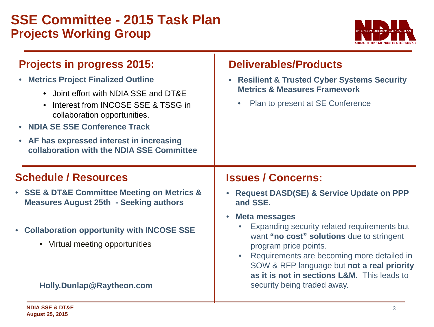## **SSE Committee - 2015 Task Plan Projects Working Group**



| <b>Projects in progress 2015:</b><br><b>Metrics Project Finalized Outline</b><br>• Joint effort with NDIA SSE and DT&E<br>Interest from INCOSE SSE & TSSG in<br>collaboration opportunities.<br><b>NDIA SE SSE Conference Track</b><br>• AF has expressed interest in increasing<br>collaboration with the NDIA SSE Committee | <b>Deliverables/Products</b><br><b>Resilient &amp; Trusted Cyber Systems Security</b><br><b>Metrics &amp; Measures Framework</b><br>Plan to present at SE Conference<br>$\bullet$                                                                                                                 |
|-------------------------------------------------------------------------------------------------------------------------------------------------------------------------------------------------------------------------------------------------------------------------------------------------------------------------------|---------------------------------------------------------------------------------------------------------------------------------------------------------------------------------------------------------------------------------------------------------------------------------------------------|
| <b>Schedule / Resources</b>                                                                                                                                                                                                                                                                                                   | <b>Issues / Concerns:</b>                                                                                                                                                                                                                                                                         |
| • SSE & DT&E Committee Meeting on Metrics &<br><b>Measures August 25th - Seeking authors</b>                                                                                                                                                                                                                                  | <b>Request DASD(SE) &amp; Service Update on PPP</b><br>$\bullet$<br>and SSE.                                                                                                                                                                                                                      |
| • Collaboration opportunity with INCOSE SSE<br>• Virtual meeting opportunities                                                                                                                                                                                                                                                | <b>Meta messages</b><br>$\bullet$<br>Expanding security related requirements but<br>want "no cost" solutions due to stringent<br>program price points.<br>Requirements are becoming more detailed in<br>SOW & RFP language but not a real priority<br>as it is not in sections L&M. This leads to |
| Holly.Dunlap@Raytheon.com                                                                                                                                                                                                                                                                                                     | security being traded away.                                                                                                                                                                                                                                                                       |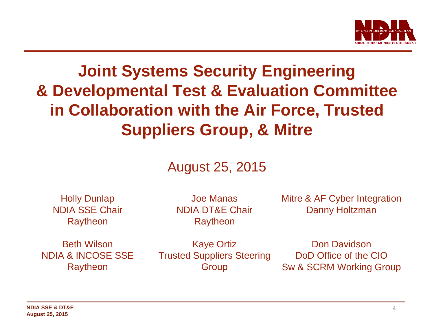

# **Joint Systems Security Engineering & Developmental Test & Evaluation Committee in Collaboration with the Air Force, Trusted Suppliers Group, & Mitre**

## August 25, 2015

Holly Dunlap NDIA SSE Chair Raytheon

Joe Manas NDIA DT&E Chair Raytheon

Mitre & AF Cyber Integration Danny Holtzman

Beth Wilson NDIA & INCOSE SSE Raytheon

Kaye Ortiz Trusted Suppliers Steering Group

Don Davidson DoD Office of the CIO Sw & SCRM Working Group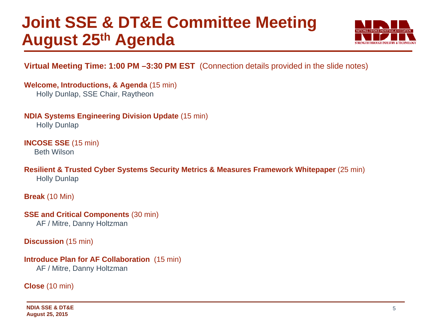# **Joint SSE & DT&E Committee Meeting August 25th Agenda**



### **Virtual Meeting Time: 1:00 PM –3:30 PM EST** (Connection details provided in the slide notes)

**Welcome, Introductions, & Agenda** (15 min) Holly Dunlap, SSE Chair, Raytheon

**NDIA Systems Engineering Division Update** (15 min)

Holly Dunlap

**INCOSE SSE** (15 min)

Beth Wilson

**Resilient & Trusted Cyber Systems Security Metrics & Measures Framework Whitepaper** (25 min) Holly Dunlap

**Break** (10 Min)

**SSE and Critical Components (30 min)** AF / Mitre, Danny Holtzman

**Discussion** (15 min)

#### **Introduce Plan for AF Collaboration** (15 min)

AF / Mitre, Danny Holtzman

**Close** (10 min)

**NDIA SSE & DT&E August 25, 2015**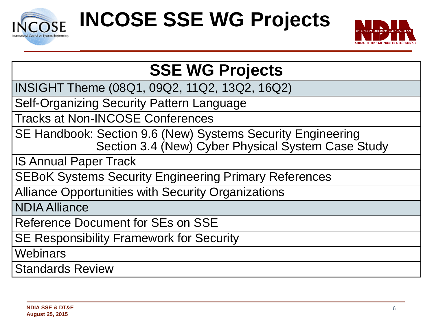



# **SSE WG Projects**

INSIGHT Theme (08Q1, 09Q2, 11Q2, 13Q2, 16Q2)

Self-Organizing Security Pattern Language

Tracks at Non-INCOSE Conferences

SE Handbook: Section 9.6 (New) Systems Security Engineering Section 3.4 (New) Cyber Physical System Case Study

IS Annual Paper Track

SEBoK Systems Security Engineering Primary References

Alliance Opportunities with Security Organizations

NDIA Alliance

Reference Document for SEs on SSE

SE Responsibility Framework for Security

**Webinars** 

Standards Review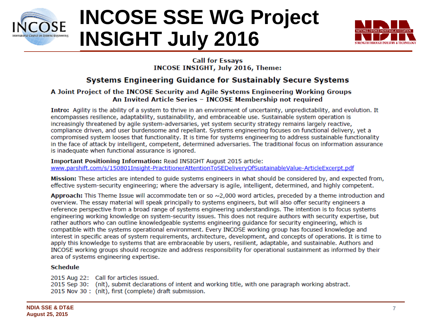

# **INCOSE SSE WG Project INSIGHT July 2016**



#### **Call for Essays INCOSE INSIGHT, July 2016, Theme:**

### **Systems Engineering Guidance for Sustainably Secure Systems**

#### A Joint Project of the INCOSE Security and Agile Systems Engineering Working Groups An Invited Article Series - INCOSE Membership not required

Intro: Agility is the ability of a system to thrive in an environment of uncertainty, unpredictability, and evolution. It encompasses resilience, adaptability, sustainability, and embraceable use. Sustainable system operation is increasingly threatened by agile system-adversaries, yet system security strategy remains largely reactive, compliance driven, and user burdensome and repellant. Systems engineering focuses on functional delivery, yet a compromised system looses that functionality. It is time for systems engineering to address sustainable functionality in the face of attack by intelligent, competent, determined adversaries. The traditional focus on information assurance is inadequate when functional assurance is ignored.

Important Positioning Information: Read INSIGHT August 2015 article: www.parshift.com/s/150801Insight-PractitionerAttentionToSEDeliveryOfSustainableValue-ArticleExcerpt.pdf

Mission: These articles are intended to quide systems engineers in what should be considered by, and expected from, effective system-security engineering; where the adversary is agile, intelligent, determined, and highly competent,

Approach: This Theme Issue will accommodate ten or so  $\sim$ 2,000 word articles, preceded by a theme introduction and overview. The essay material will speak principally to systems engineers, but will also offer security engineers a reference perspective from a broad range of systems engineering understandings. The intention is to focus systems engineering working knowledge on system-security issues. This does not require authors with security expertise, but rather authors who can outline knowledgeable systems engineering quidance for security engineering, which is compatible with the systems operational environment. Every INCOSE working group has focused knowledge and interest in specific areas of system requirements, architecture, development, and concepts of operations. It is time to apply this knowledge to systems that are embraceable by users, resilient, adaptable, and sustainable. Authors and INCOSE working groups should recognize and address responsibility for operational sustainment as informed by their area of systems engineering expertise.

#### **Schedule**

2015 Aug 22: Call for articles issued. 2015 Sep 30: (nlt), submit declarations of intent and working title, with one paragraph working abstract. 2015 Nov 30: (nlt), first (complete) draft submission.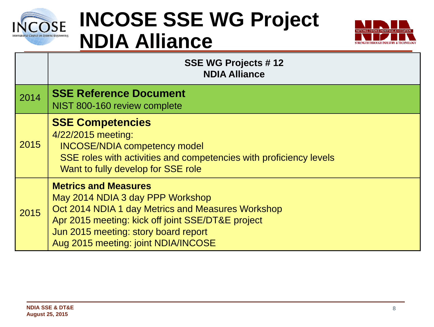

# **INCOSE SSE WG Project NDIA Alliance**



|      | <b>SSE WG Projects #12</b><br><b>NDIA Alliance</b>                                                                                                                                                                                                       |
|------|----------------------------------------------------------------------------------------------------------------------------------------------------------------------------------------------------------------------------------------------------------|
| 2014 | <b>SSE Reference Document</b><br>NIST 800-160 review complete                                                                                                                                                                                            |
| 2015 | <b>SSE Competencies</b><br>4/22/2015 meeting:<br><b>INCOSE/NDIA competency model</b><br>SSE roles with activities and competencies with proficiency levels<br>Want to fully develop for SSE role                                                         |
| 2015 | <b>Metrics and Measures</b><br>May 2014 NDIA 3 day PPP Workshop<br>Oct 2014 NDIA 1 day Metrics and Measures Workshop<br>Apr 2015 meeting: kick off joint SSE/DT&E project<br>Jun 2015 meeting: story board report<br>Aug 2015 meeting: joint NDIA/INCOSE |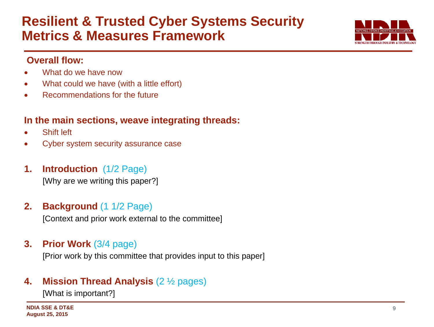## **Resilient & Trusted Cyber Systems Security Metrics & Measures Framework**



### **Overall flow:**

- What do we have now
- What could we have (with a little effort)
- Recommendations for the future

## **In the main sections, weave integrating threads:**

- Shift left
- Cyber system security assurance case
- **1. Introduction** (1/2 Page)

[Why are we writing this paper?]

## **2. Background** (1 1/2 Page)

[Context and prior work external to the committee]

**3. Prior Work** (3/4 page)

[Prior work by this committee that provides input to this paper]

## **4. Mission Thread Analysis** (2 ½ pages)

[What is important?]